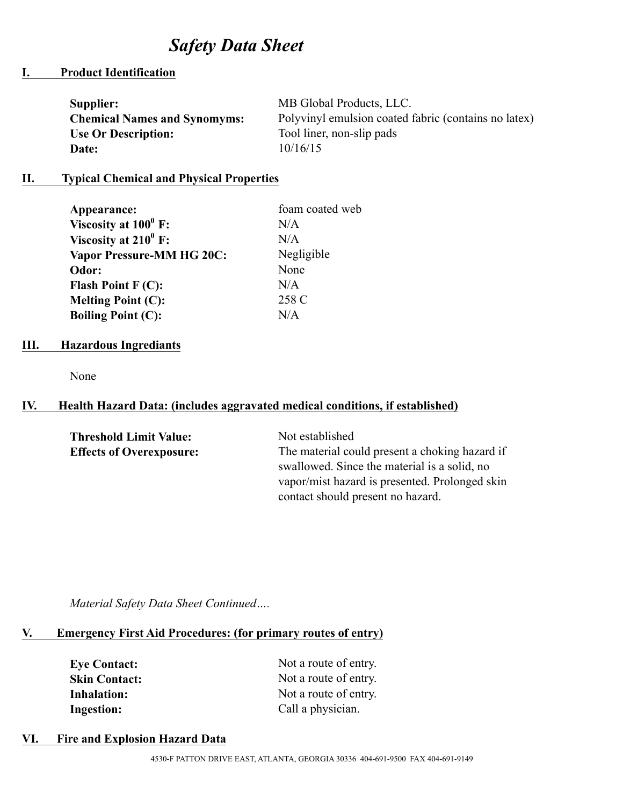# *Safety Data Sheet*

## **I. Product Identification**

| Supplier:                           | MB Global Products, LLC.                             |
|-------------------------------------|------------------------------------------------------|
| <b>Chemical Names and Synomyms:</b> | Polyvinyl emulsion coated fabric (contains no latex) |
| <b>Use Or Description:</b>          | Tool liner, non-slip pads                            |
| Date:                               | 10/16/15                                             |

#### **II. Typical Chemical and Physical Properties**

| Appearance:                           | foam coated web |
|---------------------------------------|-----------------|
| Viscosity at $100^0$ F:               | N/A             |
| Viscosity at $210^0$ F:               | N/A             |
| <b>Vapor Pressure-MM HG 20C:</b>      | Negligible      |
| Odor:                                 | None            |
| <b>Flash Point <math>F(C)</math>:</b> | N/A             |
| <b>Melting Point (C):</b>             | 258 C           |
| <b>Boiling Point (C):</b>             | N/A             |

#### **III. Hazardous Ingrediants**

None

## **IV. Health Hazard Data: (includes aggravated medical conditions, if established)**

| Not established                                |
|------------------------------------------------|
| The material could present a choking hazard if |
| swallowed. Since the material is a solid, no   |
| vapor/mist hazard is presented. Prolonged skin |
| contact should present no hazard.              |
|                                                |

*Material Safety Data Sheet Continued….*

# **V. Emergency First Aid Procedures: (for primary routes of entry)**

| <b>Eye Contact:</b>  | Not a route of entry. |
|----------------------|-----------------------|
| <b>Skin Contact:</b> | Not a route of entry. |
| Inhalation:          | Not a route of entry. |
| <b>Ingestion:</b>    | Call a physician.     |

# **VI. Fire and Explosion Hazard Data**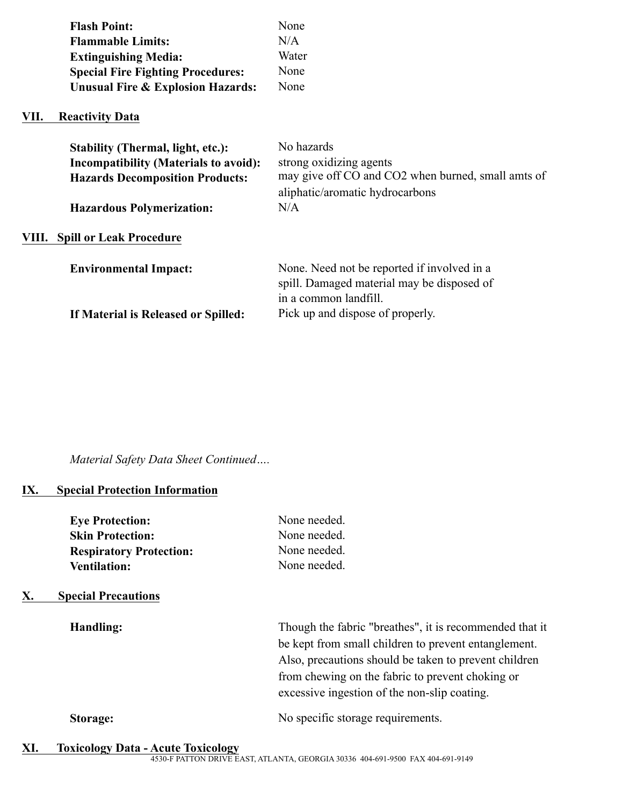|       | <b>Flash Point:</b><br><b>Flammable Limits:</b><br><b>Extinguishing Media:</b><br><b>Special Fire Fighting Procedures:</b><br><b>Unusual Fire &amp; Explosion Hazards:</b> | None<br>N/A<br>Water<br>None<br>None                                                                                           |
|-------|----------------------------------------------------------------------------------------------------------------------------------------------------------------------------|--------------------------------------------------------------------------------------------------------------------------------|
| VII.  | <b>Reactivity Data</b>                                                                                                                                                     |                                                                                                                                |
|       | <b>Stability (Thermal, light, etc.):</b><br><b>Incompatibility (Materials to avoid):</b><br><b>Hazards Decomposition Products:</b>                                         | No hazards<br>strong oxidizing agents<br>may give off CO and CO2 when burned, small amts of<br>aliphatic/aromatic hydrocarbons |
|       | <b>Hazardous Polymerization:</b>                                                                                                                                           | N/A                                                                                                                            |
| VIII. | <b>Spill or Leak Procedure</b>                                                                                                                                             |                                                                                                                                |
|       | <b>Environmental Impact:</b>                                                                                                                                               | None. Need not be reported if involved in a<br>spill. Damaged material may be disposed of<br>in a common landfill.             |
|       | If Material is Released or Spilled:                                                                                                                                        | Pick up and dispose of properly.                                                                                               |

*Material Safety Data Sheet Continued….*

# **IX. Special Protection Information**

| <b>Eye Protection:</b>         | None needed. |
|--------------------------------|--------------|
| <b>Skin Protection:</b>        | None needed. |
| <b>Respiratory Protection:</b> | None needed. |
| <b>Ventilation:</b>            | None needed. |

# **X. Special Precautions**

| Handling:       | Though the fabric "breathes", it is recommended that it<br>be kept from small children to prevent entanglement.<br>Also, precautions should be taken to prevent children<br>from chewing on the fabric to prevent choking or<br>excessive ingestion of the non-slip coating. |
|-----------------|------------------------------------------------------------------------------------------------------------------------------------------------------------------------------------------------------------------------------------------------------------------------------|
| <b>Storage:</b> | No specific storage requirements.                                                                                                                                                                                                                                            |